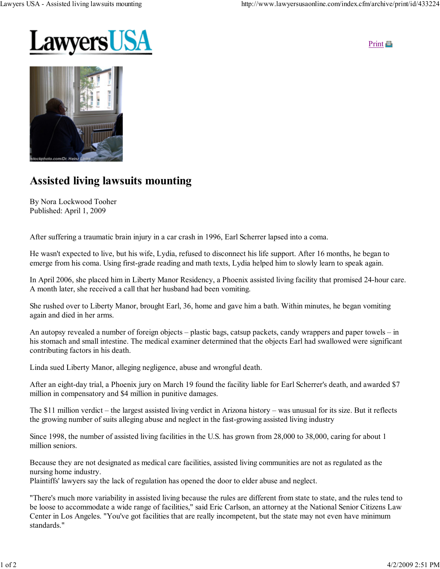

Print **D** 



## Assisted living lawsuits mounting

By Nora Lockwood Tooher Published: April 1, 2009

After suffering a traumatic brain injury in a car crash in 1996, Earl Scherrer lapsed into a coma.

He wasn't expected to live, but his wife, Lydia, refused to disconnect his life support. After 16 months, he began to emerge from his coma. Using first-grade reading and math texts, Lydia helped him to slowly learn to speak again.

In April 2006, she placed him in Liberty Manor Residency, a Phoenix assisted living facility that promised 24-hour care. A month later, she received a call that her husband had been vomiting.

She rushed over to Liberty Manor, brought Earl, 36, home and gave him a bath. Within minutes, he began vomiting again and died in her arms.

An autopsy revealed a number of foreign objects – plastic bags, catsup packets, candy wrappers and paper towels – in his stomach and small intestine. The medical examiner determined that the objects Earl had swallowed were significant contributing factors in his death.

Linda sued Liberty Manor, alleging negligence, abuse and wrongful death.

After an eight-day trial, a Phoenix jury on March 19 found the facility liable for Earl Scherrer's death, and awarded \$7 million in compensatory and \$4 million in punitive damages.

The \$11 million verdict – the largest assisted living verdict in Arizona history – was unusual for its size. But it reflects the growing number of suits alleging abuse and neglect in the fast-growing assisted living industry

Since 1998, the number of assisted living facilities in the U.S. has grown from 28,000 to 38,000, caring for about 1 million seniors.

Because they are not designated as medical care facilities, assisted living communities are not as regulated as the nursing home industry.

Plaintiffs' lawyers say the lack of regulation has opened the door to elder abuse and neglect.

"There's much more variability in assisted living because the rules are different from state to state, and the rules tend to be loose to accommodate a wide range of facilities," said Eric Carlson, an attorney at the National Senior Citizens Law Center in Los Angeles. "You've got facilities that are really incompetent, but the state may not even have minimum standards."